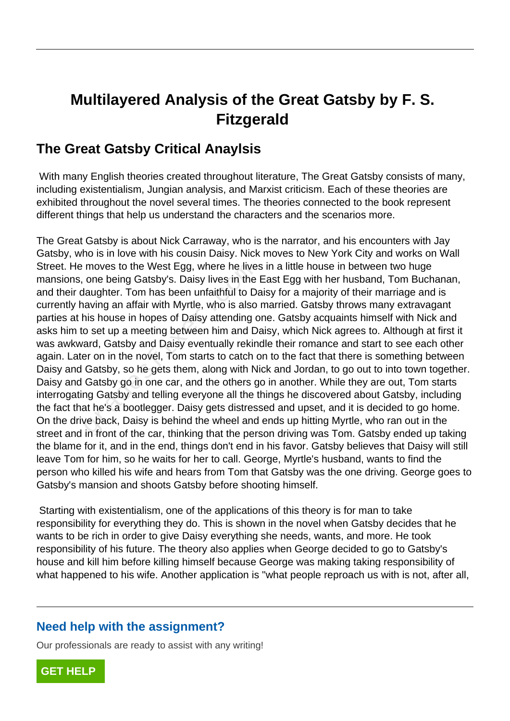## **Multilayered Analysis of the Great Gatsby by F. S. Fitzgerald**

## **The Great Gatsby Critical Anaylsis**

 With many English theories created throughout literature, The Great Gatsby consists of many, including existentialism, Jungian analysis, and Marxist criticism. Each of these theories are exhibited throughout the novel several times. The theories connected to the book represent different things that help us understand the characters and the scenarios more.

The Great Gatsby is about Nick Carraway, who is the narrator, and his encounters with Jay Gatsby, who is in love with his cousin Daisy. Nick moves to New York City and works on Wall Street. He moves to the West Egg, where he lives in a little house in between two huge mansions, one being Gatsby's. Daisy lives in the East Egg with her husband, Tom Buchanan, and their daughter. Tom has been unfaithful to Daisy for a majority of their marriage and is currently having an affair with Myrtle, who is also married. Gatsby throws many extravagant parties at his house in hopes of Daisy attending one. Gatsby acquaints himself with Nick and asks him to set up a meeting between him and Daisy, which Nick agrees to. Although at first it was awkward, Gatsby and Daisy eventually rekindle their romance and start to see each other again. Later on in the novel, Tom starts to catch on to the fact that there is something between Daisy and Gatsby, so he gets them, along with Nick and Jordan, to go out to into town together. Daisy and Gatsby go in one car, and the others go in another. While they are out, Tom starts interrogating Gatsby and telling everyone all the things he discovered about Gatsby, including the fact that he's a bootlegger. Daisy gets distressed and upset, and it is decided to go home. On the drive back, Daisy is behind the wheel and ends up hitting Myrtle, who ran out in the street and in front of the car, thinking that the person driving was Tom. Gatsby ended up taking the blame for it, and in the end, things don't end in his favor. Gatsby believes that Daisy will still leave Tom for him, so he waits for her to call. George, Myrtle's husband, wants to find the person who killed his wife and hears from Tom that Gatsby was the one driving. George goes to Gatsby's mansion and shoots Gatsby before shooting himself. moves to the West Egg, where he live<br>one being Gatsby's. Daisy lives in the<br>laughter. Tom has been unfaithful to Da<br>aving an affair with Myrtle, who is also<br>nis house in hopes of Daisy attending co<br>set up a meeting between

 Starting with existentialism, one of the applications of this theory is for man to take responsibility for everything they do. This is shown in the novel when Gatsby decides that he wants to be rich in order to give Daisy everything she needs, wants, and more. He took responsibility of his future. The theory also applies when George decided to go to Gatsby's house and kill him before killing himself because George was making taking responsibility of what happened to his wife. Another application is "what people reproach us with is not, after all,

## **Need help with the assignment?**

Our professionals are ready to assist with any writing!

**[GET HELP](https://my.gradesfixer.com/order?utm_campaign=pdf_sample)**